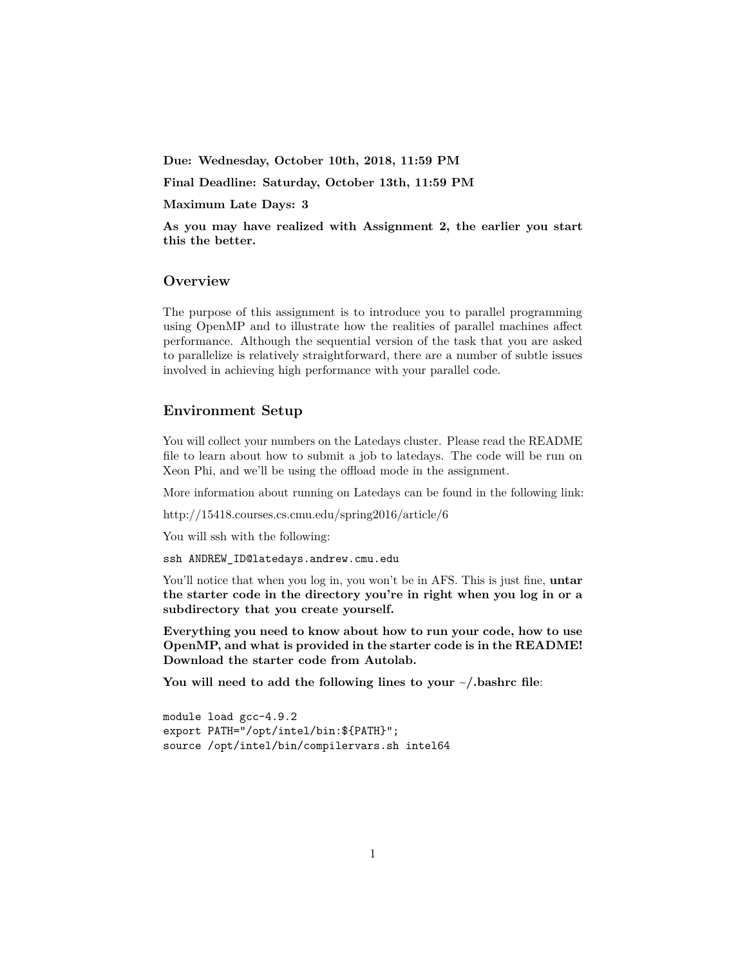**Due: Wednesday, October 10th, 2018, 11:59 PM**

**Final Deadline: Saturday, October 13th, 11:59 PM**

**Maximum Late Days: 3**

**As you may have realized with Assignment 2, the earlier you start this the better.**

## **Overview**

The purpose of this assignment is to introduce you to parallel programming using OpenMP and to illustrate how the realities of parallel machines affect performance. Although the sequential version of the task that you are asked to parallelize is relatively straightforward, there are a number of subtle issues involved in achieving high performance with your parallel code.

## **Environment Setup**

You will collect your numbers on the Latedays cluster. Please read the README file to learn about how to submit a job to latedays. The code will be run on Xeon Phi, and we'll be using the offload mode in the assignment.

More information about running on Latedays can be found in the following link:

http://15418.courses.cs.cmu.edu/spring2016/article/6

You will ssh with the following:

ssh ANDREW\_ID@latedays.andrew.cmu.edu

You'll notice that when you log in, you won't be in AFS. This is just fine, **untar the starter code in the directory you're in right when you log in or a subdirectory that you create yourself.**

**Everything you need to know about how to run your code, how to use OpenMP, and what is provided in the starter code is in the README! Download the starter code from Autolab.**

**You will need to add the following lines to your ~/.bashrc file**:

```
module load gcc-4.9.2
export PATH="/opt/intel/bin:${PATH}";
source /opt/intel/bin/compilervars.sh intel64
```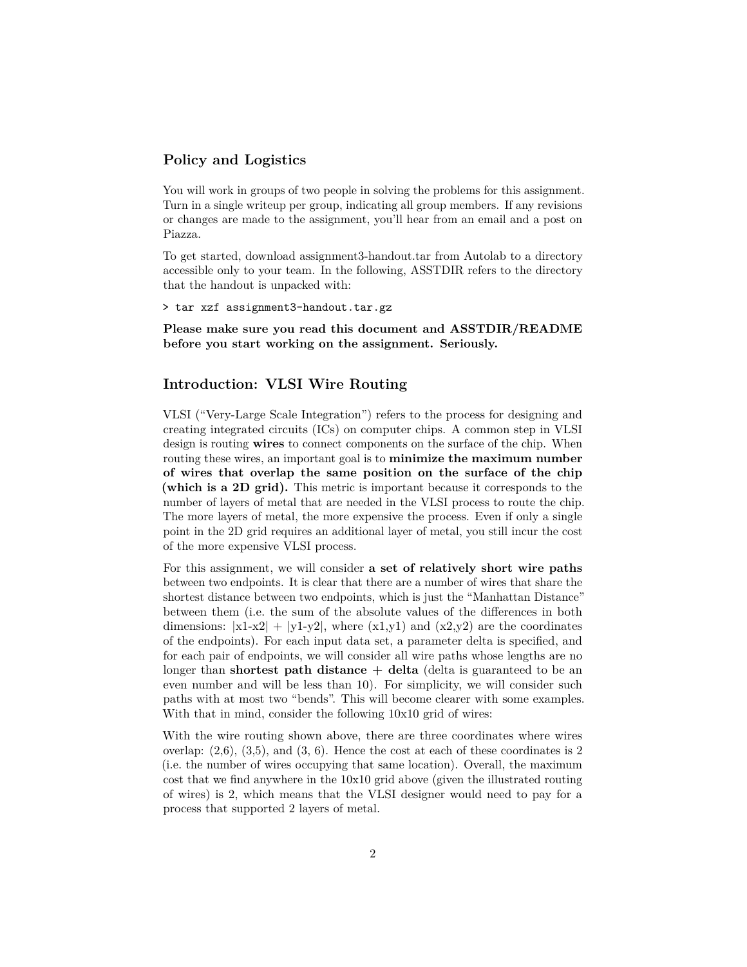## **Policy and Logistics**

You will work in groups of two people in solving the problems for this assignment. Turn in a single writeup per group, indicating all group members. If any revisions or changes are made to the assignment, you'll hear from an email and a post on Piazza.

To get started, download assignment3-handout.tar from Autolab to a directory accessible only to your team. In the following, ASSTDIR refers to the directory that the handout is unpacked with:

> tar xzf assignment3-handout.tar.gz

**Please make sure you read this document and ASSTDIR/README before you start working on the assignment. Seriously.**

## **Introduction: VLSI Wire Routing**

VLSI ("Very-Large Scale Integration") refers to the process for designing and creating integrated circuits (ICs) on computer chips. A common step in VLSI design is routing **wires** to connect components on the surface of the chip. When routing these wires, an important goal is to **minimize the maximum number of wires that overlap the same position on the surface of the chip (which is a 2D grid).** This metric is important because it corresponds to the number of layers of metal that are needed in the VLSI process to route the chip. The more layers of metal, the more expensive the process. Even if only a single point in the 2D grid requires an additional layer of metal, you still incur the cost of the more expensive VLSI process.

For this assignment, we will consider **a set of relatively short wire paths** between two endpoints. It is clear that there are a number of wires that share the shortest distance between two endpoints, which is just the "Manhattan Distance" between them (i.e. the sum of the absolute values of the differences in both dimensions:  $|x1-x2| + |y1-y2|$ , where  $(x1,y1)$  and  $(x2,y2)$  are the coordinates of the endpoints). For each input data set, a parameter delta is specified, and for each pair of endpoints, we will consider all wire paths whose lengths are no longer than **shortest path distance** + delta (delta is guaranteed to be an even number and will be less than 10). For simplicity, we will consider such paths with at most two "bends". This will become clearer with some examples. With that in mind, consider the following  $10x10$  grid of wires:

With the wire routing shown above, there are three coordinates where wires overlap:  $(2,6)$ ,  $(3,5)$ , and  $(3, 6)$ . Hence the cost at each of these coordinates is 2 (i.e. the number of wires occupying that same location). Overall, the maximum cost that we find anywhere in the 10x10 grid above (given the illustrated routing of wires) is 2, which means that the VLSI designer would need to pay for a process that supported 2 layers of metal.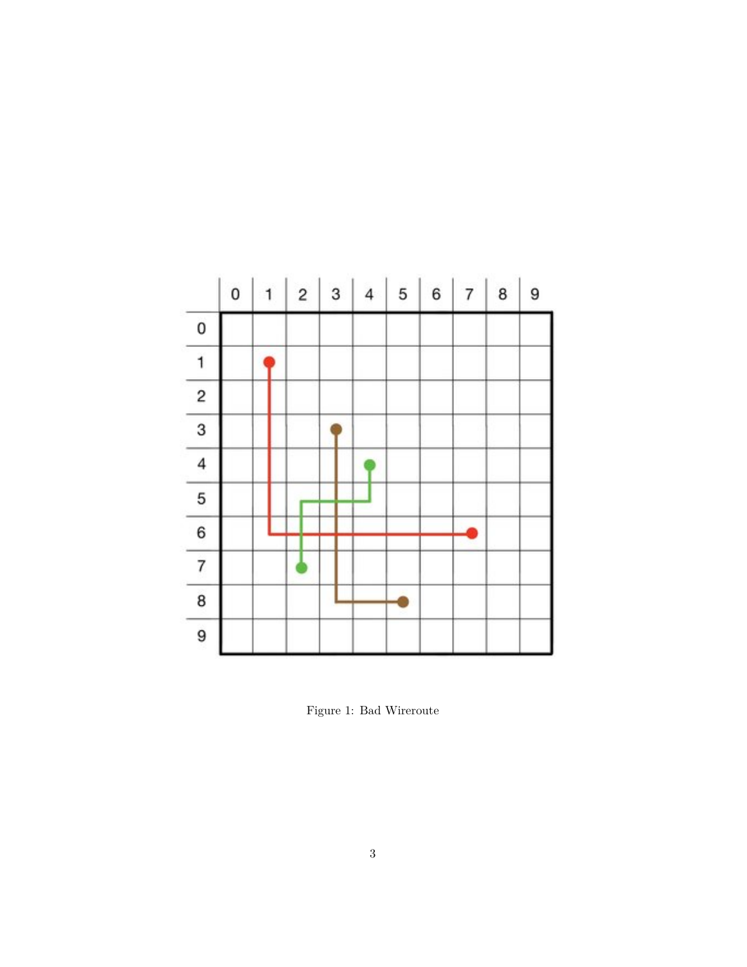

Figure 1: Bad Wireroute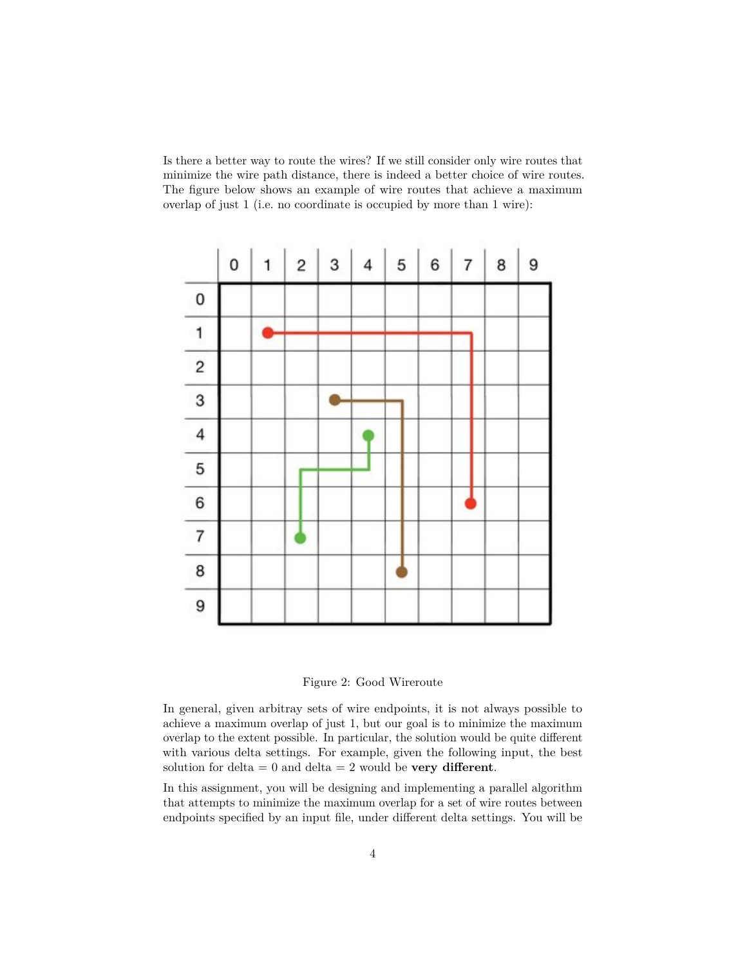Is there a better way to route the wires? If we still consider only wire routes that minimize the wire path distance, there is indeed a better choice of wire routes. The figure below shows an example of wire routes that achieve a maximum overlap of just 1 (i.e. no coordinate is occupied by more than 1 wire):



Figure 2: Good Wireroute

In general, given arbitray sets of wire endpoints, it is not always possible to achieve a maximum overlap of just 1, but our goal is to minimize the maximum overlap to the extent possible. In particular, the solution would be quite different with various delta settings. For example, given the following input, the best solution for delta  $= 0$  and delta  $= 2$  would be **very different**.

In this assignment, you will be designing and implementing a parallel algorithm that attempts to minimize the maximum overlap for a set of wire routes between endpoints specified by an input file, under different delta settings. You will be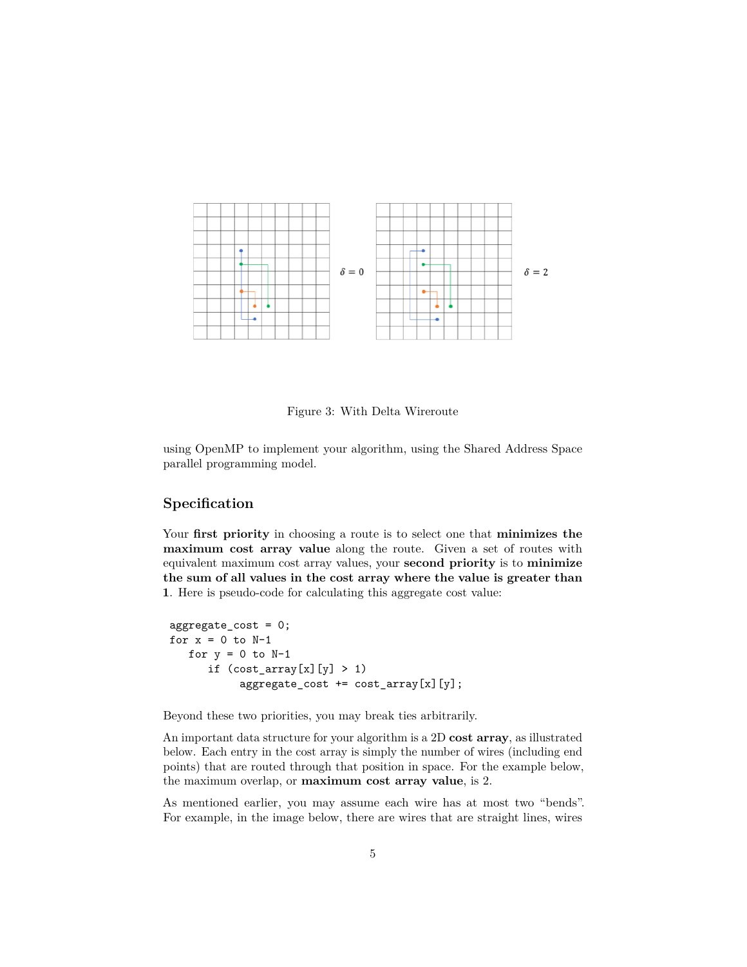

Figure 3: With Delta Wireroute

using OpenMP to implement your algorithm, using the Shared Address Space parallel programming model.

# **Specification**

Your **first priority** in choosing a route is to select one that **minimizes the maximum cost array value** along the route. Given a set of routes with equivalent maximum cost array values, your **second priority** is to **minimize the sum of all values in the cost array where the value is greater than 1**. Here is pseudo-code for calculating this aggregate cost value:

```
aggregate_cost = 0;
for x = 0 to N-1for y = 0 to N-1if (cost_array[x][y] > 1)aggregate_cost += cost_array[x][y];
```
Beyond these two priorities, you may break ties arbitrarily.

An important data structure for your algorithm is a 2D **cost array**, as illustrated below. Each entry in the cost array is simply the number of wires (including end points) that are routed through that position in space. For the example below, the maximum overlap, or **maximum cost array value**, is 2.

As mentioned earlier, you may assume each wire has at most two "bends". For example, in the image below, there are wires that are straight lines, wires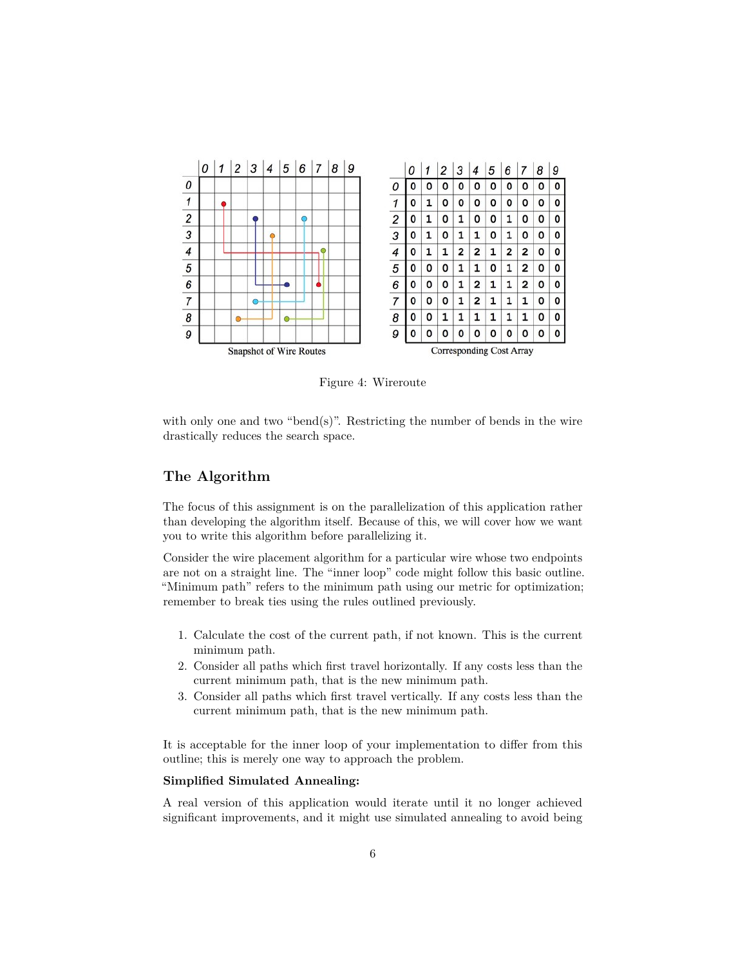

Figure 4: Wireroute

with only one and two "bend $(s)$ ". Restricting the number of bends in the wire drastically reduces the search space.

# **The Algorithm**

The focus of this assignment is on the parallelization of this application rather than developing the algorithm itself. Because of this, we will cover how we want you to write this algorithm before parallelizing it.

Consider the wire placement algorithm for a particular wire whose two endpoints are not on a straight line. The "inner loop" code might follow this basic outline. "Minimum path" refers to the minimum path using our metric for optimization; remember to break ties using the rules outlined previously.

- 1. Calculate the cost of the current path, if not known. This is the current minimum path.
- 2. Consider all paths which first travel horizontally. If any costs less than the current minimum path, that is the new minimum path.
- 3. Consider all paths which first travel vertically. If any costs less than the current minimum path, that is the new minimum path.

It is acceptable for the inner loop of your implementation to differ from this outline; this is merely one way to approach the problem.

### **Simplified Simulated Annealing:**

A real version of this application would iterate until it no longer achieved significant improvements, and it might use simulated annealing to avoid being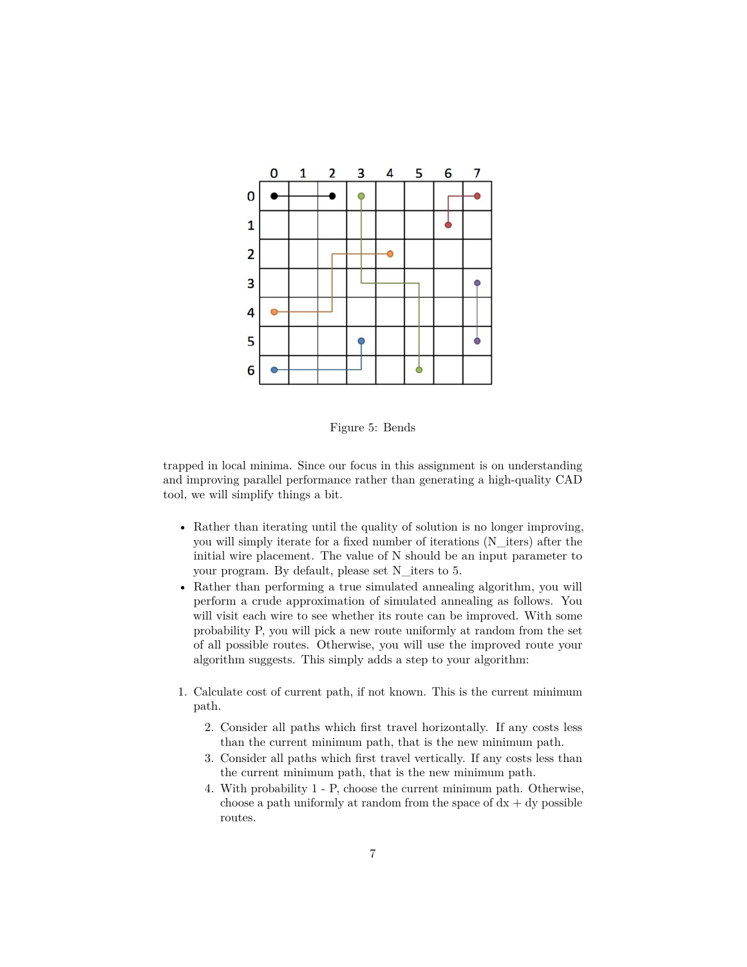

Figure 5: Bends

trapped in local minima. Since our focus in this assignment is on understanding and improving parallel performance rather than generating a high-quality CAD tool, we will simplify things a bit.

- Rather than iterating until the quality of solution is no longer improving, you will simply iterate for a fixed number of iterations (N\_iters) after the initial wire placement. The value of N should be an input parameter to your program. By default, please set N\_iters to 5.
- Rather than performing a true simulated annealing algorithm, you will perform a crude approximation of simulated annealing as follows. You will visit each wire to see whether its route can be improved. With some probability P, you will pick a new route uniformly at random from the set of all possible routes. Otherwise, you will use the improved route your algorithm suggests. This simply adds a step to your algorithm:
- 1. Calculate cost of current path, if not known. This is the current minimum path.
	- 2. Consider all paths which first travel horizontally. If any costs less than the current minimum path, that is the new minimum path.
	- 3. Consider all paths which first travel vertically. If any costs less than the current minimum path, that is the new minimum path.
	- 4. With probability 1 P, choose the current minimum path. Otherwise, choose a path uniformly at random from the space of  $dx + dy$  possible routes.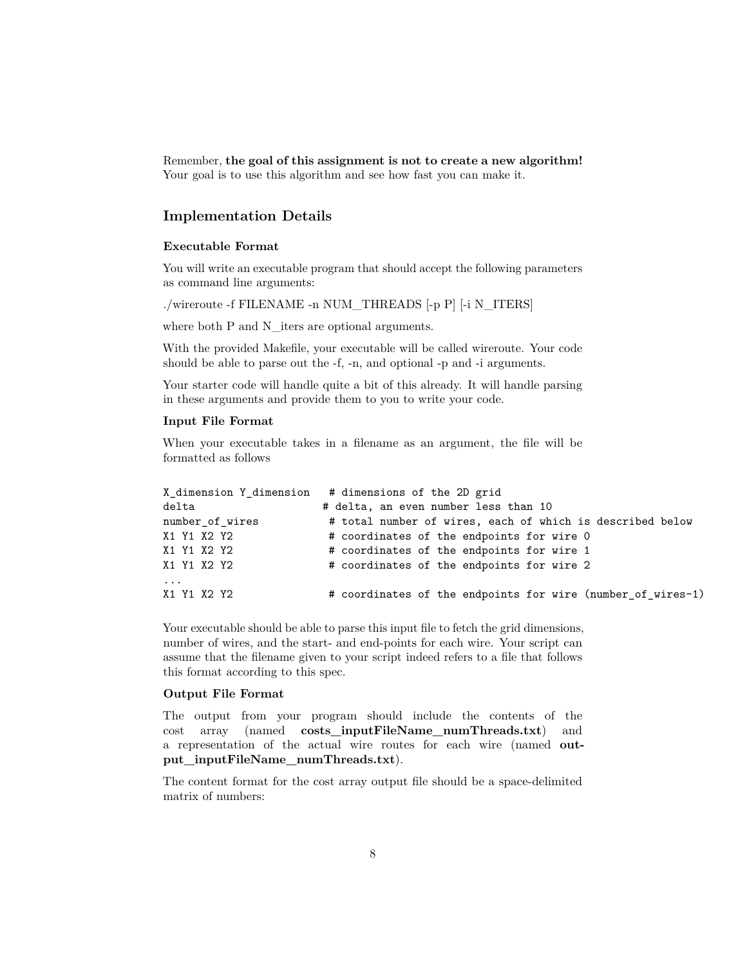Remember, **the goal of this assignment is not to create a new algorithm!** Your goal is to use this algorithm and see how fast you can make it.

## **Implementation Details**

### **Executable Format**

You will write an executable program that should accept the following parameters as command line arguments:

./wireroute -f FILENAME -n NUM\_THREADS [-p P] [-i N\_ITERS]

where both P and N\_iters are optional arguments.

With the provided Makefile, your executable will be called wireroute. Your code should be able to parse out the -f, -n, and optional -p and -i arguments.

Your starter code will handle quite a bit of this already. It will handle parsing in these arguments and provide them to you to write your code.

#### **Input File Format**

When your executable takes in a filename as an argument, the file will be formatted as follows

|                 | X dimension Y dimension # dimensions of the 2D grid         |
|-----------------|-------------------------------------------------------------|
| delta           | # delta, an even number less than 10                        |
| number of wires | # total number of wires, each of which is described below   |
| X1 Y1 X2 Y2     | # coordinates of the endpoints for wire 0                   |
| X1 Y1 X2 Y2     | # coordinates of the endpoints for wire 1                   |
| X1 Y1 X2 Y2     | # coordinates of the endpoints for wire 2                   |
| $\ddots$        |                                                             |
| X1 Y1 X2 Y2     | # coordinates of the endpoints for wire (number_of_wires-1) |

Your executable should be able to parse this input file to fetch the grid dimensions, number of wires, and the start- and end-points for each wire. Your script can assume that the filename given to your script indeed refers to a file that follows this format according to this spec.

#### **Output File Format**

The output from your program should include the contents of the cost array (named **costs\_inputFileName\_numThreads.txt**) and a representation of the actual wire routes for each wire (named **output\_inputFileName\_numThreads.txt**).

The content format for the cost array output file should be a space-delimited matrix of numbers: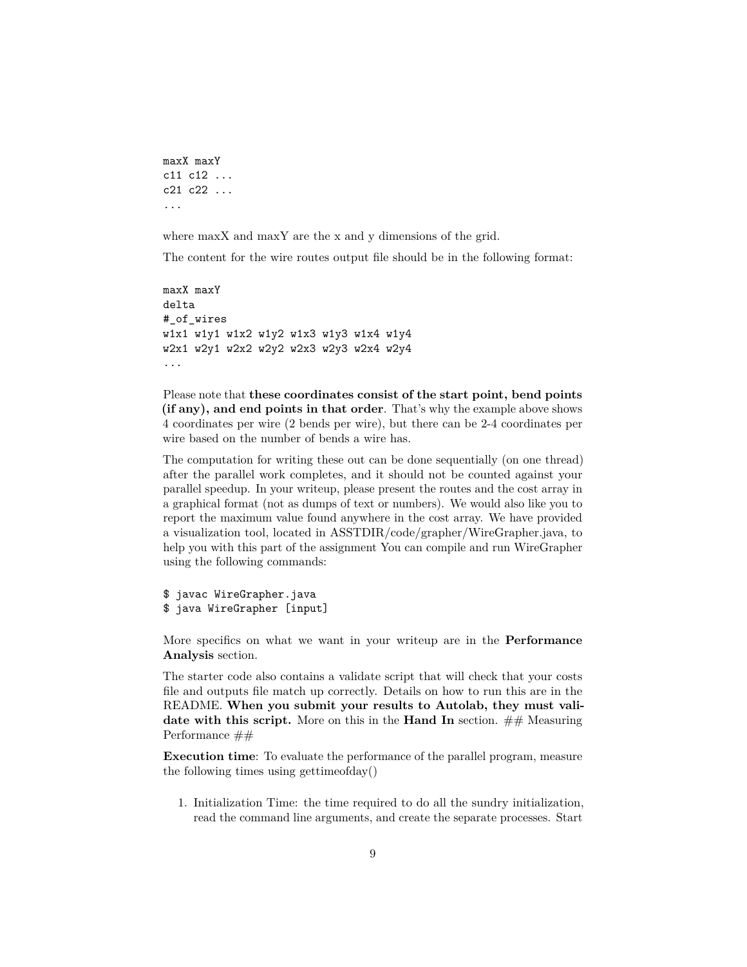```
maxX maxY
c11 c12 ...
c21 c22 ...
...
```
where maxX and maxY are the x and y dimensions of the grid.

The content for the wire routes output file should be in the following format:

```
maxX maxY
delta
#_of_wires
w1x1 w1y1 w1x2 w1y2 w1x3 w1y3 w1x4 w1y4
w2x1 w2y1 w2x2 w2y2 w2x3 w2y3 w2x4 w2y4
...
```
Please note that **these coordinates consist of the start point, bend points (if any), and end points in that order**. That's why the example above shows 4 coordinates per wire (2 bends per wire), but there can be 2-4 coordinates per wire based on the number of bends a wire has.

The computation for writing these out can be done sequentially (on one thread) after the parallel work completes, and it should not be counted against your parallel speedup. In your writeup, please present the routes and the cost array in a graphical format (not as dumps of text or numbers). We would also like you to report the maximum value found anywhere in the cost array. We have provided a visualization tool, located in ASSTDIR/code/grapher/WireGrapher.java, to help you with this part of the assignment You can compile and run WireGrapher using the following commands:

```
$ javac WireGrapher.java
$ java WireGrapher [input]
```
More specifics on what we want in your writeup are in the **Performance Analysis** section.

The starter code also contains a validate script that will check that your costs file and outputs file match up correctly. Details on how to run this are in the README. **When you submit your results to Autolab, they must validate with this script.** More on this in the **Hand In** section. ## Measuring Performance ##

**Execution time**: To evaluate the performance of the parallel program, measure the following times using gettimeofday()

1. Initialization Time: the time required to do all the sundry initialization, read the command line arguments, and create the separate processes. Start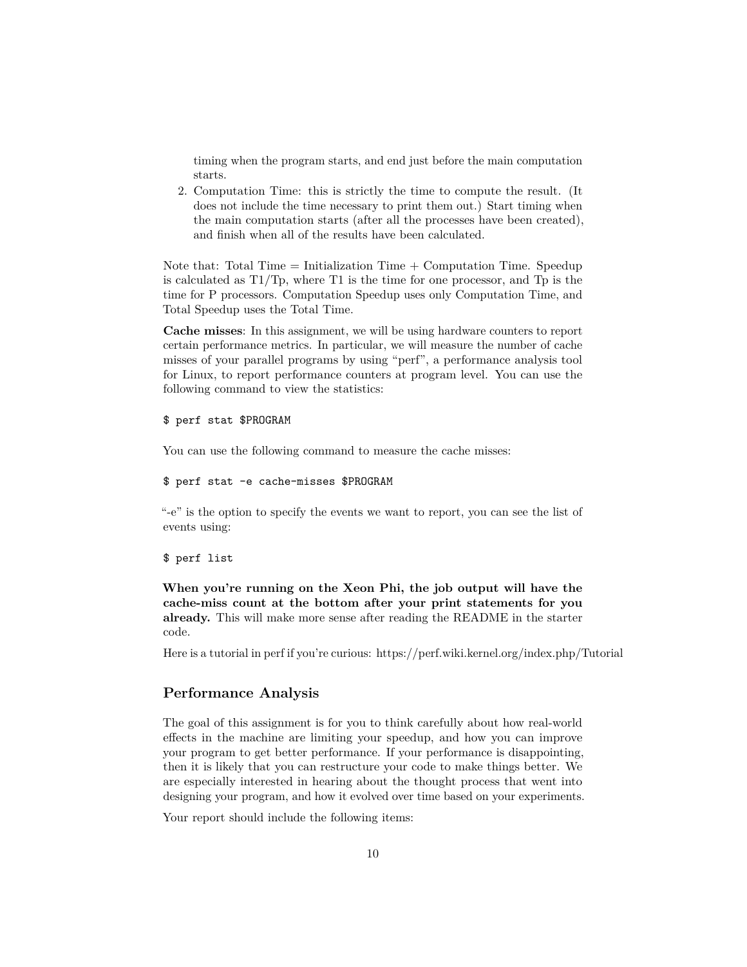timing when the program starts, and end just before the main computation starts.

2. Computation Time: this is strictly the time to compute the result. (It does not include the time necessary to print them out.) Start timing when the main computation starts (after all the processes have been created), and finish when all of the results have been calculated.

Note that: Total Time  $=$  Initialization Time  $+$  Computation Time. Speedup is calculated as T1/Tp, where T1 is the time for one processor, and Tp is the time for P processors. Computation Speedup uses only Computation Time, and Total Speedup uses the Total Time.

**Cache misses**: In this assignment, we will be using hardware counters to report certain performance metrics. In particular, we will measure the number of cache misses of your parallel programs by using "perf", a performance analysis tool for Linux, to report performance counters at program level. You can use the following command to view the statistics:

#### \$ perf stat \$PROGRAM

You can use the following command to measure the cache misses:

#### \$ perf stat -e cache-misses \$PROGRAM

"-e" is the option to specify the events we want to report, you can see the list of events using:

#### \$ perf list

**When you're running on the Xeon Phi, the job output will have the cache-miss count at the bottom after your print statements for you already.** This will make more sense after reading the README in the starter code.

Here is a tutorial in perf if you're curious: https://perf.wiki.kernel.org/index.php/Tutorial

#### **Performance Analysis**

The goal of this assignment is for you to think carefully about how real-world effects in the machine are limiting your speedup, and how you can improve your program to get better performance. If your performance is disappointing, then it is likely that you can restructure your code to make things better. We are especially interested in hearing about the thought process that went into designing your program, and how it evolved over time based on your experiments.

Your report should include the following items: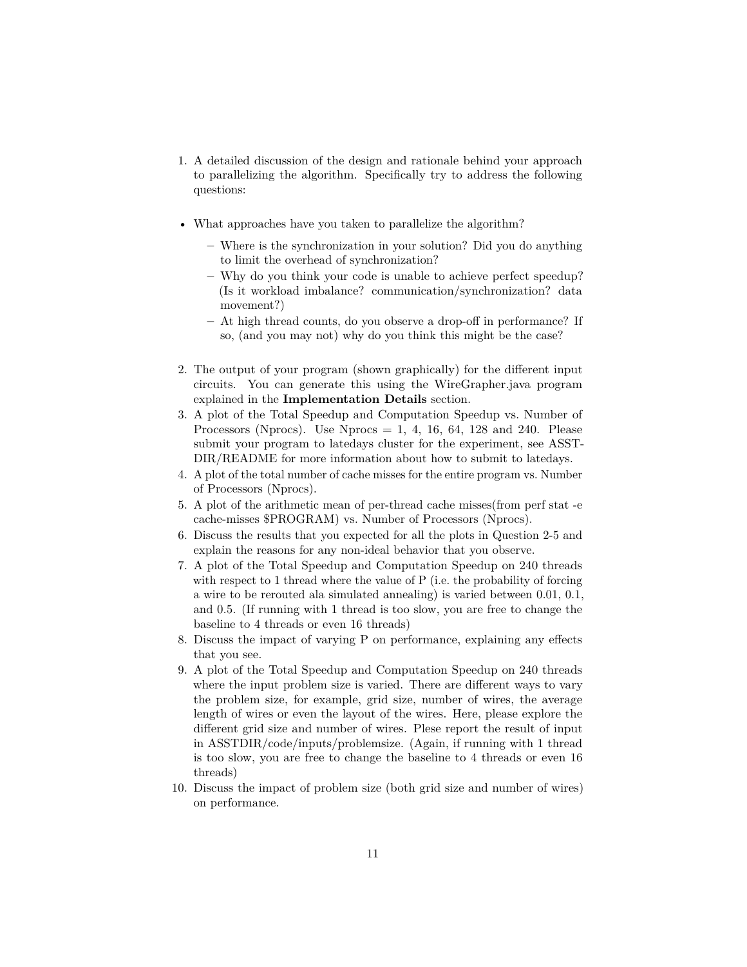- 1. A detailed discussion of the design and rationale behind your approach to parallelizing the algorithm. Specifically try to address the following questions:
- What approaches have you taken to parallelize the algorithm?
	- **–** Where is the synchronization in your solution? Did you do anything to limit the overhead of synchronization?
	- **–** Why do you think your code is unable to achieve perfect speedup? (Is it workload imbalance? communication/synchronization? data movement?)
	- **–** At high thread counts, do you observe a drop-off in performance? If so, (and you may not) why do you think this might be the case?
- 2. The output of your program (shown graphically) for the different input circuits. You can generate this using the WireGrapher.java program explained in the **Implementation Details** section.
- 3. A plot of the Total Speedup and Computation Speedup vs. Number of Processors (Nprocs). Use Nprocs  $= 1, 4, 16, 64, 128$  and 240. Please submit your program to latedays cluster for the experiment, see ASST-DIR/README for more information about how to submit to latedays.
- 4. A plot of the total number of cache misses for the entire program vs. Number of Processors (Nprocs).
- 5. A plot of the arithmetic mean of per-thread cache misses(from perf stat -e cache-misses \$PROGRAM) vs. Number of Processors (Nprocs).
- 6. Discuss the results that you expected for all the plots in Question 2-5 and explain the reasons for any non-ideal behavior that you observe.
- 7. A plot of the Total Speedup and Computation Speedup on 240 threads with respect to 1 thread where the value of P (i.e. the probability of forcing a wire to be rerouted ala simulated annealing) is varied between 0.01, 0.1, and 0.5. (If running with 1 thread is too slow, you are free to change the baseline to 4 threads or even 16 threads)
- 8. Discuss the impact of varying P on performance, explaining any effects that you see.
- 9. A plot of the Total Speedup and Computation Speedup on 240 threads where the input problem size is varied. There are different ways to vary the problem size, for example, grid size, number of wires, the average length of wires or even the layout of the wires. Here, please explore the different grid size and number of wires. Plese report the result of input in ASSTDIR/code/inputs/problemsize. (Again, if running with 1 thread is too slow, you are free to change the baseline to 4 threads or even 16 threads)
- 10. Discuss the impact of problem size (both grid size and number of wires) on performance.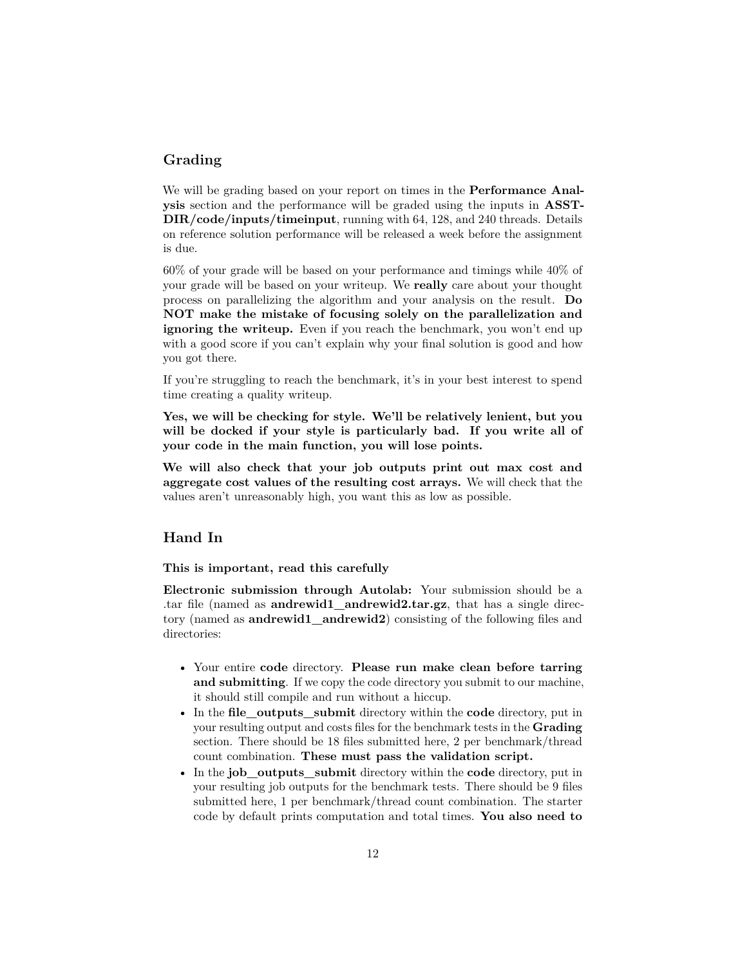## **Grading**

We will be grading based on your report on times in the **Performance Analysis** section and the performance will be graded using the inputs in **ASST-DIR/code/inputs/timeinput**, running with 64, 128, and 240 threads. Details on reference solution performance will be released a week before the assignment is due.

60% of your grade will be based on your performance and timings while 40% of your grade will be based on your writeup. We **really** care about your thought process on parallelizing the algorithm and your analysis on the result. **Do NOT make the mistake of focusing solely on the parallelization and ignoring the writeup.** Even if you reach the benchmark, you won't end up with a good score if you can't explain why your final solution is good and how you got there.

If you're struggling to reach the benchmark, it's in your best interest to spend time creating a quality writeup.

**Yes, we will be checking for style. We'll be relatively lenient, but you will be docked if your style is particularly bad. If you write all of your code in the main function, you will lose points.**

**We will also check that your job outputs print out max cost and aggregate cost values of the resulting cost arrays.** We will check that the values aren't unreasonably high, you want this as low as possible.

# **Hand In**

**This is important, read this carefully**

**Electronic submission through Autolab:** Your submission should be a .tar file (named as **andrewid1\_andrewid2.tar.gz**, that has a single directory (named as **andrewid1\_andrewid2**) consisting of the following files and directories:

- Your entire **code** directory. **Please run make clean before tarring and submitting**. If we copy the code directory you submit to our machine, it should still compile and run without a hiccup.
- In the **file\_outputs\_submit** directory within the **code** directory, put in your resulting output and costs files for the benchmark tests in the **Grading** section. There should be 18 files submitted here, 2 per benchmark/thread count combination. **These must pass the validation script.**
- In the **job\_outputs\_submit** directory within the **code** directory, put in your resulting job outputs for the benchmark tests. There should be 9 files submitted here, 1 per benchmark/thread count combination. The starter code by default prints computation and total times. **You also need to**